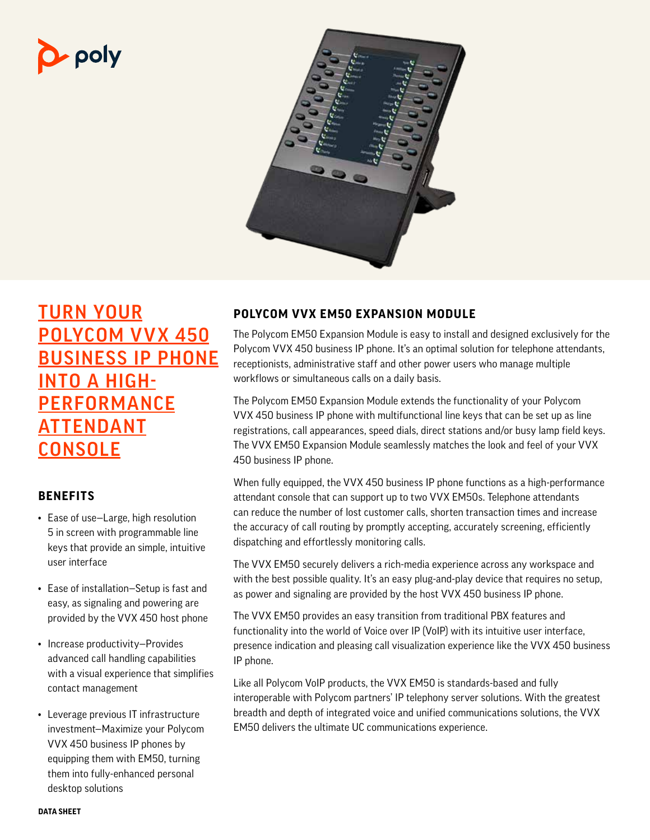# $\mathbf{p}$  poly



# **TURN YOUR** POLYCOM VVX 450 BUSINESS IP PHONE INTO A HIGH-**PERFORMANCE ATTENDANT CONSOLE**

## **BENEFITS**

- Ease of use—Large, high resolution 5 in screen with programmable line keys that provide an simple, intuitive user interface
- Ease of installation—Setup is fast and easy, as signaling and powering are provided by the VVX 450 host phone
- Increase productivity—Provides advanced call handling capabilities with a visual experience that simplifies contact management
- Leverage previous IT infrastructure investment—Maximize your Polycom VVX 450 business IP phones by equipping them with EM50, turning them into fully-enhanced personal desktop solutions

## **POLYCOM VVX EM50 EXPANSION MODULE**

The Polycom EM50 Expansion Module is easy to install and designed exclusively for the Polycom VVX 450 business IP phone. It's an optimal solution for telephone attendants, receptionists, administrative staff and other power users who manage multiple workflows or simultaneous calls on a daily basis.

The Polycom EM50 Expansion Module extends the functionality of your Polycom VVX 450 business IP phone with multifunctional line keys that can be set up as line registrations, call appearances, speed dials, direct stations and/or busy lamp field keys. The VVX EM50 Expansion Module seamlessly matches the look and feel of your VVX 450 business IP phone.

When fully equipped, the VVX 450 business IP phone functions as a high-performance attendant console that can support up to two VVX EM50s. Telephone attendants can reduce the number of lost customer calls, shorten transaction times and increase the accuracy of call routing by promptly accepting, accurately screening, efficiently dispatching and effortlessly monitoring calls.

The VVX EM50 securely delivers a rich-media experience across any workspace and with the best possible quality. It's an easy plug-and-play device that requires no setup, as power and signaling are provided by the host VVX 450 business IP phone.

The VVX EM50 provides an easy transition from traditional PBX features and functionality into the world of Voice over IP (VoIP) with its intuitive user interface, presence indication and pleasing call visualization experience like the VVX 450 business IP phone.

Like all Polycom VoIP products, the VVX EM50 is standards-based and fully interoperable with Polycom partners' IP telephony server solutions. With the greatest breadth and depth of integrated voice and unified communications solutions, the VVX EM50 delivers the ultimate UC communications experience.